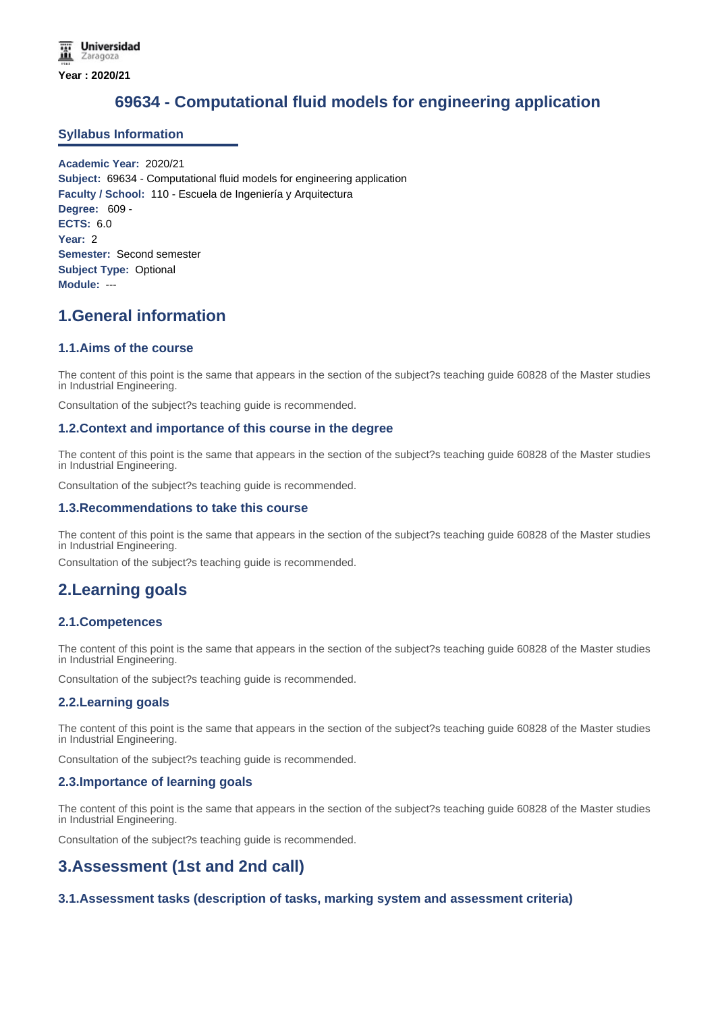# **69634 - Computational fluid models for engineering application**

## **Syllabus Information**

**Academic Year:** 2020/21 **Subject:** 69634 - Computational fluid models for engineering application **Faculty / School:** 110 - Escuela de Ingeniería y Arquitectura **Degree:** 609 - **ECTS:** 6.0 **Year:** 2 **Semester:** Second semester **Subject Type:** Optional **Module:** ---

# **1.General information**

## **1.1.Aims of the course**

The content of this point is the same that appears in the section of the subject?s teaching guide 60828 of the Master studies in Industrial Engineering.

Consultation of the subject?s teaching guide is recommended.

#### **1.2.Context and importance of this course in the degree**

The content of this point is the same that appears in the section of the subject?s teaching guide 60828 of the Master studies in Industrial Engineering.

Consultation of the subject?s teaching guide is recommended.

#### **1.3.Recommendations to take this course**

The content of this point is the same that appears in the section of the subject?s teaching guide 60828 of the Master studies in Industrial Engineering.

Consultation of the subject?s teaching guide is recommended.

# **2.Learning goals**

#### **2.1.Competences**

The content of this point is the same that appears in the section of the subject?s teaching guide 60828 of the Master studies in Industrial Engineering.

Consultation of the subject?s teaching guide is recommended.

#### **2.2.Learning goals**

The content of this point is the same that appears in the section of the subject?s teaching guide 60828 of the Master studies in Industrial Engineering.

Consultation of the subject?s teaching guide is recommended.

#### **2.3.Importance of learning goals**

The content of this point is the same that appears in the section of the subject?s teaching guide 60828 of the Master studies in Industrial Engineering.

Consultation of the subject?s teaching guide is recommended.

# **3.Assessment (1st and 2nd call)**

# **3.1.Assessment tasks (description of tasks, marking system and assessment criteria)**